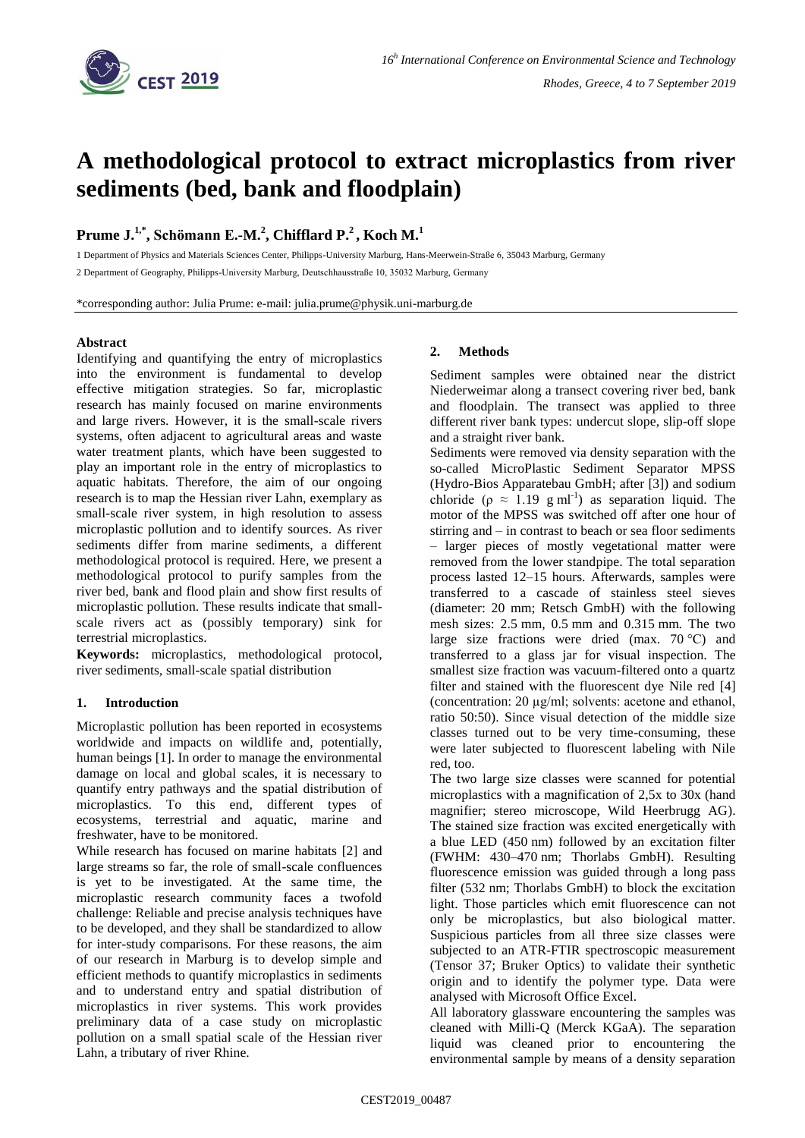

# **A methodological protocol to extract microplastics from river sediments (bed, bank and floodplain)**

## **Prume J. 1,\* , Schömann E.-M. 2 , Chifflard P. <sup>2</sup>, Koch M. 1**

1 Department of Physics and Materials Sciences Center, Philipps-University Marburg, Hans-Meerwein-Straße 6, 35043 Marburg, Germany

2 Department of Geography, Philipps-University Marburg, Deutschhausstraße 10, 35032 Marburg, Germany

\*corresponding author: Julia Prume: e-mail: julia.prume@physik.uni-marburg.de

## **Abstract**

Identifying and quantifying the entry of microplastics into the environment is fundamental to develop effective mitigation strategies. So far, microplastic research has mainly focused on marine environments and large rivers. However, it is the small-scale rivers systems, often adjacent to agricultural areas and waste water treatment plants, which have been suggested to play an important role in the entry of microplastics to aquatic habitats. Therefore, the aim of our ongoing research is to map the Hessian river Lahn, exemplary as small-scale river system, in high resolution to assess microplastic pollution and to identify sources. As river sediments differ from marine sediments, a different methodological protocol is required. Here, we present a methodological protocol to purify samples from the river bed, bank and flood plain and show first results of microplastic pollution. These results indicate that smallscale rivers act as (possibly temporary) sink for terrestrial microplastics.

**Keywords:** microplastics, methodological protocol, river sediments, small-scale spatial distribution

## **1. Introduction**

Microplastic pollution has been reported in ecosystems worldwide and impacts on wildlife and, potentially, human beings [1]. In order to manage the environmental damage on local and global scales, it is necessary to quantify entry pathways and the spatial distribution of microplastics. To this end, different types of ecosystems, terrestrial and aquatic, marine and freshwater, have to be monitored.

While research has focused on marine habitats [2] and large streams so far, the role of small-scale confluences is yet to be investigated. At the same time, the microplastic research community faces a twofold challenge: Reliable and precise analysis techniques have to be developed, and they shall be standardized to allow for inter-study comparisons. For these reasons, the aim of our research in Marburg is to develop simple and efficient methods to quantify microplastics in sediments and to understand entry and spatial distribution of microplastics in river systems. This work provides preliminary data of a case study on microplastic pollution on a small spatial scale of the Hessian river Lahn, a tributary of river Rhine.

## **2. Methods**

Sediment samples were obtained near the district Niederweimar along a transect covering river bed, bank and floodplain. The transect was applied to three different river bank types: undercut slope, slip-off slope and a straight river bank.

Sediments were removed via density separation with the so-called MicroPlastic Sediment Separator MPSS (Hydro-Bios Apparatebau GmbH; after [3]) and sodium chloride ( $\rho \approx 1.19$  g ml<sup>-1</sup>) as separation liquid. The motor of the MPSS was switched off after one hour of stirring and – in contrast to beach or sea floor sediments – larger pieces of mostly vegetational matter were removed from the lower standpipe. The total separation process lasted 12–15 hours. Afterwards, samples were transferred to a cascade of stainless steel sieves (diameter: 20 mm; Retsch GmbH) with the following mesh sizes: 2.5 mm, 0.5 mm and 0.315 mm. The two large size fractions were dried (max.  $70^{\circ}$ C) and transferred to a glass jar for visual inspection. The smallest size fraction was vacuum-filtered onto a quartz filter and stained with the fluorescent dye Nile red [4] (concentration: 20 µg/ml; solvents: acetone and ethanol, ratio 50:50). Since visual detection of the middle size classes turned out to be very time-consuming, these were later subjected to fluorescent labeling with Nile red, too.

The two large size classes were scanned for potential microplastics with a magnification of 2,5x to 30x (hand magnifier; stereo microscope, Wild Heerbrugg AG). The stained size fraction was excited energetically with a blue LED (450 nm) followed by an excitation filter (FWHM: 430–470 nm; Thorlabs GmbH). Resulting fluorescence emission was guided through a long pass filter (532 nm; Thorlabs GmbH) to block the excitation light. Those particles which emit fluorescence can not only be microplastics, but also biological matter. Suspicious particles from all three size classes were subjected to an ATR-FTIR spectroscopic measurement (Tensor 37; Bruker Optics) to validate their synthetic origin and to identify the polymer type. Data were analysed with Microsoft Office Excel.

All laboratory glassware encountering the samples was cleaned with Milli-Q (Merck KGaA). The separation liquid was cleaned prior to encountering the environmental sample by means of a density separation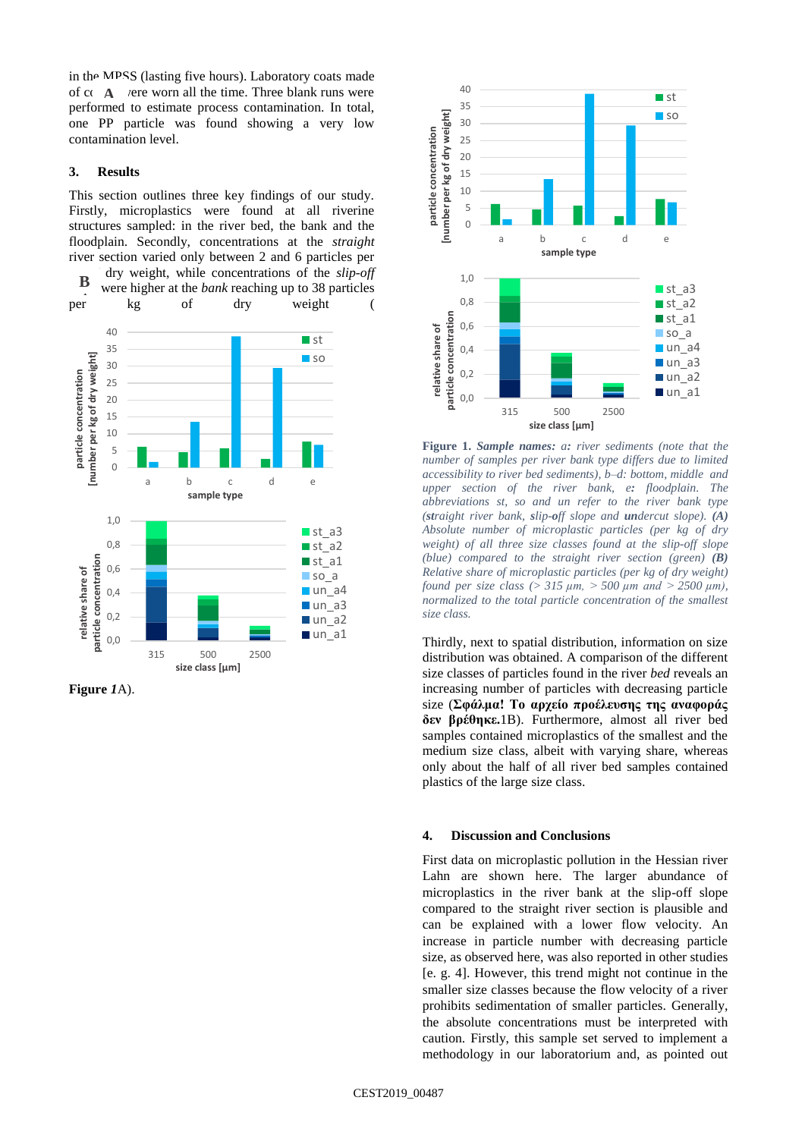in the MPSS (lasting five hours). Laboratory coats made of  $cc \textbf{A}$  vere worn all the time. Three blank runs were performed to estimate process contamination. In total, one PP particle was found showing a very low contamination level.

### **3. Results**

This section outlines three key findings of our study. Firstly, microplastics were found at all riverine structures sampled: in the river bed, the bank and the floodplain. Secondly, concentrations at the *straight*  river section varied only between 2 and 6 particles per

dry weight, while concentrations of the *slip-off* were higher at the *bank* reaching up to 38 particles per kg of dry weight ( **B**



**[Figure](#page-1-0)** *1*A).

<span id="page-1-0"></span>

**Figure 1.** *Sample names: a: river sediments (note that the number of samples per river bank type differs due to limited accessibility to river bed sediments), b–d: bottom, middle and upper section of the river bank, e: floodplain. The abbreviations st, so and un refer to the river bank type (straight river bank, slip-off slope and undercut slope). (A) Absolute number of microplastic particles (per kg of dry weight) of all three size classes found at the slip-off slope (blue) compared to the straight river section (green) (B) Relative share of microplastic particles (per kg of dry weight) found per size class (> 315 µm, > 500 µm and > 2500 µm), normalized to the total particle concentration of the smallest size class.*

Thirdly, next to spatial distribution, information on size distribution was obtained. A comparison of the different size classes of particles found in the river *bed* reveals an increasing number of particles with decreasing particle size (**Σφάλμα! Το αρχείο προέλευσης της αναφοράς δεν βρέθηκε.**1B). Furthermore, almost all river bed samples contained microplastics of the smallest and the medium size class, albeit with varying share, whereas only about the half of all river bed samples contained plastics of the large size class.

### **4. Discussion and Conclusions**

First data on microplastic pollution in the Hessian river Lahn are shown here. The larger abundance of microplastics in the river bank at the slip-off slope compared to the straight river section is plausible and can be explained with a lower flow velocity. An increase in particle number with decreasing particle size, as observed here, was also reported in other studies [e. g. 4]. However, this trend might not continue in the smaller size classes because the flow velocity of a river prohibits sedimentation of smaller particles. Generally, the absolute concentrations must be interpreted with caution. Firstly, this sample set served to implement a methodology in our laboratorium and, as pointed out